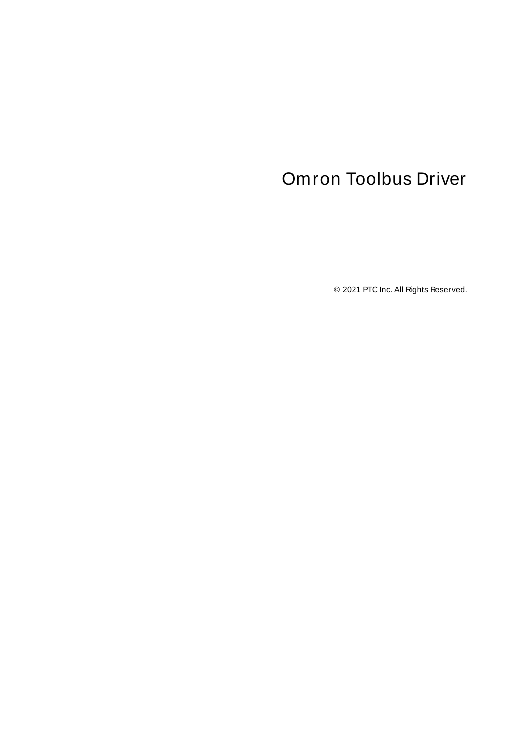# <span id="page-0-0"></span>Omron Toolbus Driver

© 2021 PTC Inc. All Rights Reserved.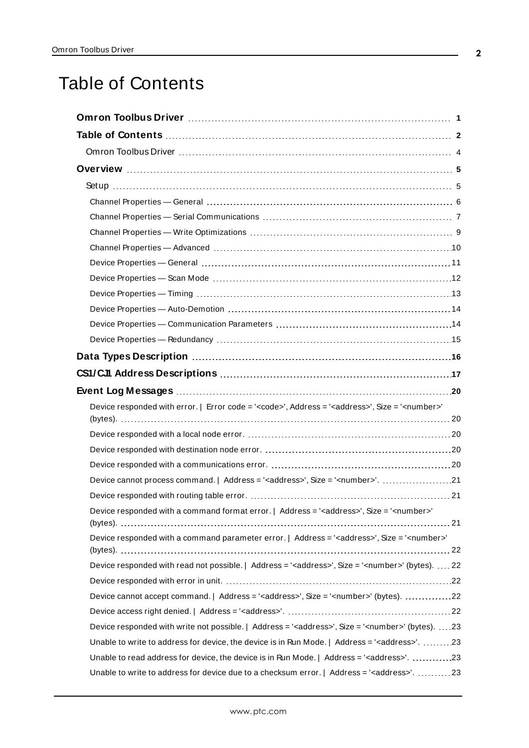# <span id="page-1-0"></span>Table of Contents

| Device responded with error.   Error code = ' <code>', Address = '<address>', Size = '<number>'</number></address></code> |  |
|---------------------------------------------------------------------------------------------------------------------------|--|
|                                                                                                                           |  |
|                                                                                                                           |  |
|                                                                                                                           |  |
|                                                                                                                           |  |
| Device cannot process command.   Address = ' <address>', Size = '<number>'. 21</number></address>                         |  |
|                                                                                                                           |  |
| Device responded with a command format error.   Address = ' <address>', Size = '<number>'</number></address>              |  |
|                                                                                                                           |  |
| Device responded with a command parameter error.   Address = ' <address>', Size = '<number>'</number></address>           |  |
| Device responded with read not possible.   Address = ' <address>', Size = '<number>' (bytes).  22</number></address>      |  |
|                                                                                                                           |  |
| Device cannot accept command.   Address = ' <address>', Size = '<number>' (bytes). 22</number></address>                  |  |
|                                                                                                                           |  |
| Device responded with write not possible.   Address = ' <address>', Size = '<number>' (bytes). 23</number></address>      |  |
| Unable to write to address for device, the device is in Run Mode.   Address = ' <address>'. 23</address>                  |  |
| Unable to read address for device, the device is in Run Mode.   Address = ' <address>'. 23</address>                      |  |
| Unable to write to address for device due to a checksum error.   Address = ' <address>'. 23</address>                     |  |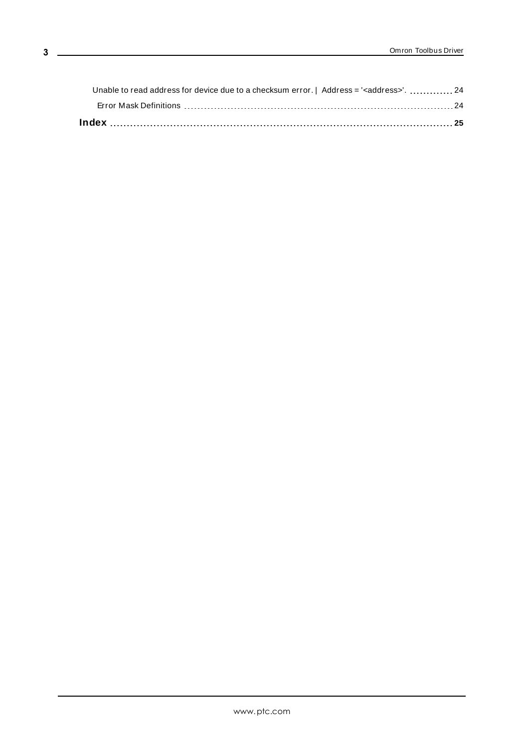| Unable to read address for device due to a checksum error.   Address = ' <address>'. 24</address> |  |
|---------------------------------------------------------------------------------------------------|--|
|                                                                                                   |  |
|                                                                                                   |  |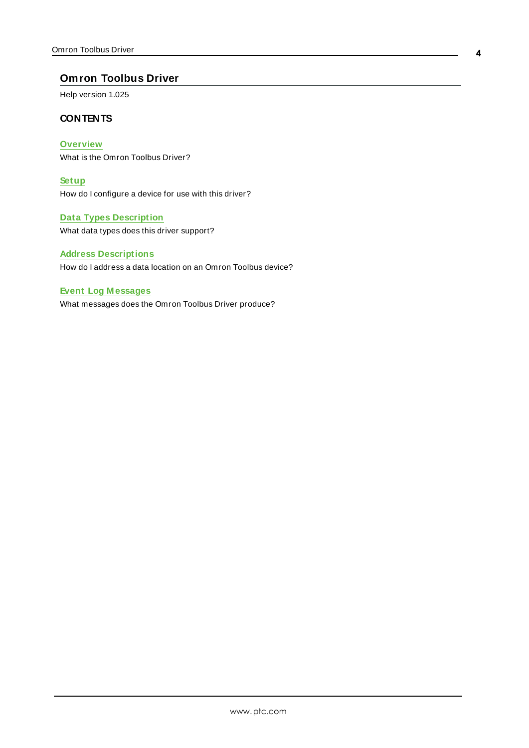### <span id="page-3-0"></span>**Omron Toolbus Driver**

Help version 1.025

### **CONTENTS**

**[Overview](#page-4-0)** What is the Omron Toolbus Driver?

**[Setup](#page-4-1)** How do I configure a device for use with this driver?

**Data Types [Description](#page-15-0)** What data types does this driver support?

### **Address [Descriptions](#page-16-0)**

How do I address a data location on an Omron Toolbus device?

#### **Event Log [M essages](#page-19-1)**

What messages does the Omron Toolbus Driver produce?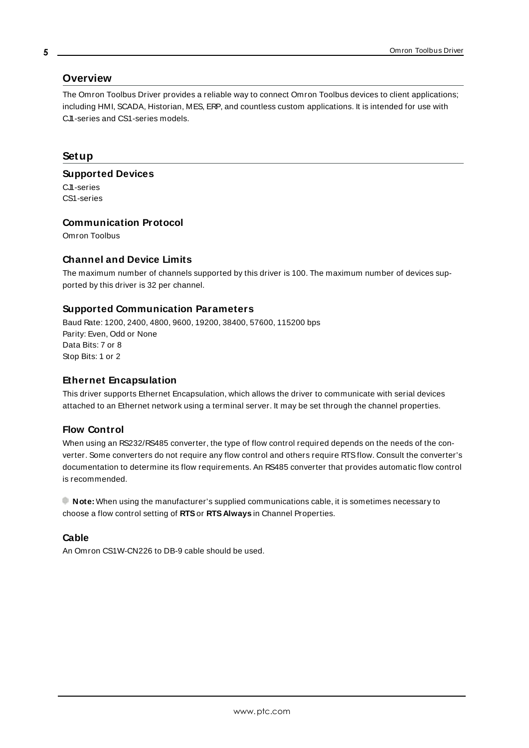### <span id="page-4-10"></span><span id="page-4-0"></span>**Overview**

The Omron Toolbus Driver provides a reliable way to connect Omron Toolbus devices to client applications; including HMI, SCADA, Historian, MES, ERP, and countless custom applications. It is intended for use with CJ1-series and CS1-series models.

### <span id="page-4-13"></span><span id="page-4-1"></span>**Setup**

**Supported Devices**

CJ1-series CS1-series

### <span id="page-4-5"></span>**Communication Protocol**

Omron Toolbus

### **Channel and Device Limits**

The maximum number of channels supported by this driver is 100. The maximum number of devices supported by this driver is 32 per channel.

### <span id="page-4-4"></span><span id="page-4-2"></span>**Supported Communication Parameters**

<span id="page-4-12"></span><span id="page-4-11"></span><span id="page-4-6"></span>Baud Rate: 1200, 2400, 4800, 9600, 19200, 38400, 57600, 115200 bps Parity: Even, Odd or None Data Bits: 7 or 8 Stop Bits: 1 or 2

### <span id="page-4-9"></span><span id="page-4-7"></span>**Ethernet Encapsulation**

This driver supports Ethernet Encapsulation, which allows the driver to communicate with serial devices attached to an Ethernet network using a terminal server. It may be set through the channel properties.

### <span id="page-4-8"></span>**Flow Control**

When using an RS232/RS485 converter, the type of flow control required depends on the needs of the converter. Some converters do not require any flow control and others require RTSflow. Consult the converter's documentation to determine its flow requirements. An RS485 converter that provides automatic flow control is recommended.

**Note:** When using the manufacturer's supplied communications cable, it is sometimes necessary to choose a flow control setting of **RTS**or **RTS Always** in Channel Properties.

### <span id="page-4-3"></span>**Cable**

An Omron CS1W-CN226 to DB-9 cable should be used.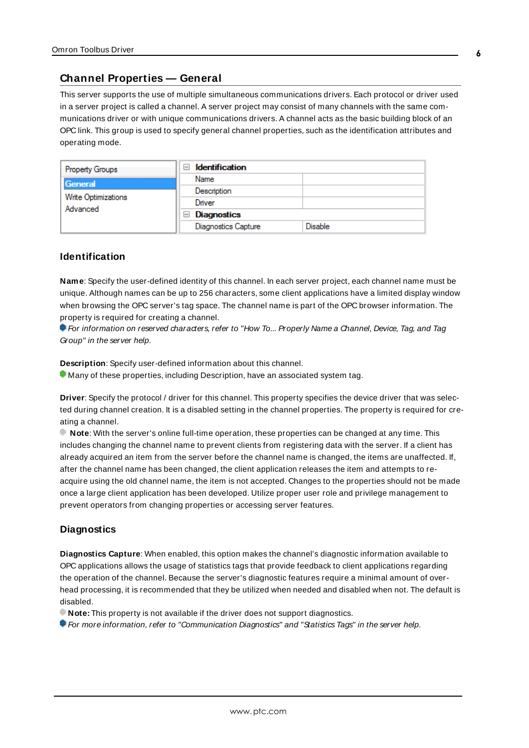### <span id="page-5-0"></span>**Channel Properties — General**

This server supports the use of multiple simultaneous communications drivers. Each protocol or driver used in a server project is called a channel. A server project may consist of many channels with the same communications driver or with unique communications drivers. A channel acts as the basic building block of an OPC link. This group is used to specify general channel properties, such as the identification attributes and operating mode.

| <b>Property Groups</b>          | <b>Identification</b><br>$\overline{ }$ |                |
|---------------------------------|-----------------------------------------|----------------|
| General                         | Name                                    |                |
| Write Optimizations<br>Advanced | Description                             |                |
|                                 | Driver                                  |                |
|                                 | $\Box$ Diagnostics                      |                |
|                                 | <b>Diagnostics Capture</b>              | <b>Disable</b> |

### **Identification**

**Name**: Specify the user-defined identity of this channel. In each server project, each channel name must be unique. Although names can be up to 256 characters, some client applications have a limited display window when browsing the OPC server's tag space. The channel name is part of the OPC browser information. The property is required for creating a channel.

For information on reserved characters, refer to "How To... Properly Name a Channel, Device, Tag, and Tag Group" in the server help.

**Description**: Specify user-defined information about this channel.

Many of these properties, including Description, have an associated system tag.

**Driver**: Specify the protocol / driver for this channel. This property specifies the device driver that was selected during channel creation. It is a disabled setting in the channel properties. The property is required for creating a channel.

**Note**: With the server's online full-time operation, these properties can be changed at any time. This includes changing the channel name to prevent clients from registering data with the server. If a client has already acquired an item from the server before the channel name is changed, the items are unaffected. If, after the channel name has been changed, the client application releases the item and attempts to reacquire using the old channel name, the item is not accepted. Changes to the properties should not be made once a large client application has been developed. Utilize proper user role and privilege management to prevent operators from changing properties or accessing server features.

### **Diagnostics**

**Diagnostics Capture**: When enabled, this option makes the channel's diagnostic information available to OPC applications allows the usage of statistics tags that provide feedback to client applications regarding the operation of the channel. Because the server's diagnostic features require a minimal amount of overhead processing, it is recommended that they be utilized when needed and disabled when not. The default is disabled.

**Note:** This property is not available if the driver does not support diagnostics.

**• For more information, refer to "Communication Diagnostics" and "Statistics Tags" in the server help.**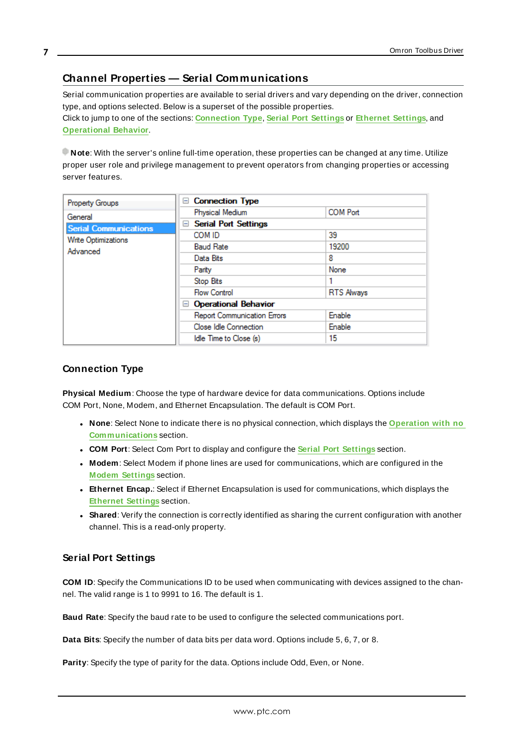## <span id="page-6-0"></span>**Channel Properties — Serial Communications**

Serial communication properties are available to serial drivers and vary depending on the driver, connection type, and options selected. Below is a superset of the possible properties. Click to jump to one of the sections: **[Connection](#page-6-1) Type**, **Serial Port [Settings](#page-6-2)** or **[Ethernet](#page-7-0) Settings**, and **[Operational](#page-7-1) Behavior**.

**Note**: With the server's online full-time operation, these properties can be changed at any time. Utilize proper user role and privilege management to prevent operators from changing properties or accessing server features.

| <b>Property Groups</b>       | <b>Connection Type</b><br>$\overline{}$ |                   |
|------------------------------|-----------------------------------------|-------------------|
| General                      | Physical Medium                         | <b>COM Port</b>   |
| <b>Serial Communications</b> | <b>Serial Port Settings</b><br>$=$      |                   |
| <b>Write Optimizations</b>   | COM ID                                  | 39                |
| Advanced                     | <b>Baud Rate</b>                        | 19200             |
|                              | Data Bits                               | 8                 |
|                              | Parity                                  | None              |
|                              | Stop Bits                               |                   |
|                              | <b>Flow Control</b>                     | <b>RTS Always</b> |
|                              | <b>Operational Behavior</b><br>н        |                   |
|                              | <b>Report Communication Errors</b>      | Enable            |
|                              | Close Idle Connection                   | Enable            |
|                              | Idle Time to Close (s)                  | 15                |

### <span id="page-6-1"></span>**Connection Type**

**Physical Medium**: Choose the type of hardware device for data communications. Options include COM Port, None, Modem, and Ethernet Encapsulation. The default is COM Port.

- <sup>l</sup> **None**: Select None to indicate there is no physical connection, which displays the **[Operation](#page-8-1) with no [Communications](#page-8-1)** section.
- <sup>l</sup> **COM Port**: Select Com Port to display and configure the **Serial Port [Settings](#page-6-2)** section.
- **Modem**: Select Modem if phone lines are used for communications, which are configured in the **Modem [Settings](#page-8-2)** section.
- **Ethernet Encap.**: Select if Ethernet Encapsulation is used for communications, which displays the **[Ethernet](#page-7-0) Settings** section.
- **Shared**: Verify the connection is correctly identified as sharing the current configuration with another channel. This is a read-only property.

### <span id="page-6-2"></span>**Serial Port Settings**

**COM ID**: Specify the Communications ID to be used when communicating with devices assigned to the channel. The valid range is 1 to 9991 to 16. The default is 1.

**Baud Rate**: Specify the baud rate to be used to configure the selected communications port.

**Data Bits**: Specify the number of data bits per data word. Options include 5, 6, 7, or 8.

**Parity**: Specify the type of parity for the data. Options include Odd, Even, or None.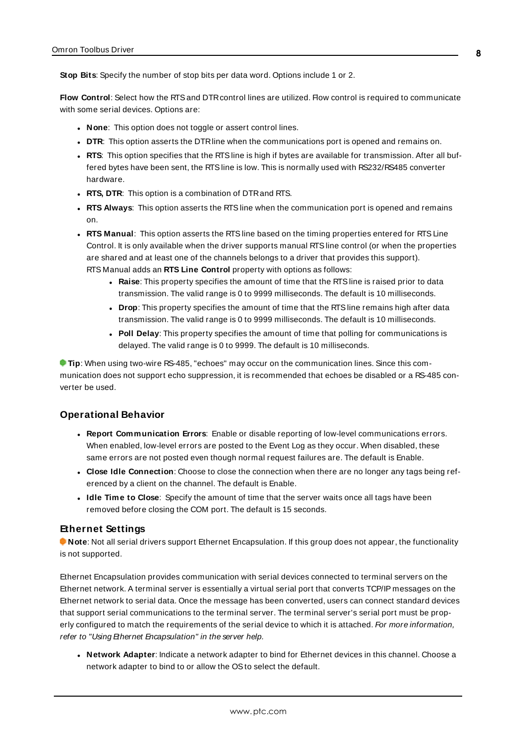**Stop Bits**: Specify the number of stop bits per data word. Options include 1 or 2.

**Flow Control**: Select how the RTSand DTRcontrol lines are utilized. Flow control is required to communicate with some serial devices. Options are:

- **None:** This option does not toggle or assert control lines.
- **DTR:** This option asserts the DTR line when the communications port is opened and remains on.
- **RTS:** This option specifies that the RTS line is high if bytes are available for transmission. After all buffered bytes have been sent, the RTSline is low. This is normally used with RS232/RS485 converter hardware.
- **RTS, DTR:** This option is a combination of DTR and RTS.
- <sup>l</sup> **RTS Always**: This option asserts the RTSline when the communication port is opened and remains on.
- <sup>l</sup> **RTS Manual**: This option asserts the RTSline based on the timing properties entered for RTSLine Control. It is only available when the driver supports manual RTSline control (or when the properties are shared and at least one of the channels belongs to a driver that provides this support). RTS Manual adds an **RTS Line Control** property with options as follows:
	- **Raise**: This property specifies the amount of time that the RTS line is raised prior to data transmission. The valid range is 0 to 9999 milliseconds. The default is 10 milliseconds.
	- **Drop**: This property specifies the amount of time that the RTS line remains high after data transmission. The valid range is 0 to 9999 milliseconds. The default is 10 milliseconds.
	- **Poll Delay**: This property specifies the amount of time that polling for communications is delayed. The valid range is 0 to 9999. The default is 10 milliseconds.

**Tip**: When using two-wire RS-485, "echoes" may occur on the communication lines. Since this communication does not support echo suppression, it is recommended that echoes be disabled or a RS-485 converter be used.

### <span id="page-7-1"></span>**Operational Behavior**

- <sup>l</sup> **Report Communication Errors**: Enable or disable reporting of low-level communications errors. When enabled, low-level errors are posted to the Event Log as they occur. When disabled, these same errors are not posted even though normal request failures are. The default is Enable.
- <sup>l</sup> **Close Idle Connection**: Choose to close the connection when there are no longer any tags being referenced by a client on the channel. The default is Enable.
- **.** Idle Time to Close: Specify the amount of time that the server waits once all tags have been removed before closing the COM port. The default is 15 seconds.

#### <span id="page-7-0"></span>**Ethernet Settings**

**Note**: Not all serial drivers support Ethernet Encapsulation. If this group does not appear, the functionality is not supported.

Ethernet Encapsulation provides communication with serial devices connected to terminal servers on the Ethernet network. A terminal server is essentially a virtual serial port that converts TCP/IP messages on the Ethernet network to serial data. Once the message has been converted, users can connect standard devices that support serial communications to the terminal server. The terminal server's serial port must be properly configured to match the requirements of the serial device to which it is attached. For more information, refer to "Using Ethernet Encapsulation" in the server help.

<sup>l</sup> **Network Adapter**: Indicate a network adapter to bind for Ethernet devices in this channel. Choose a network adapter to bind to or allow the OSto select the default.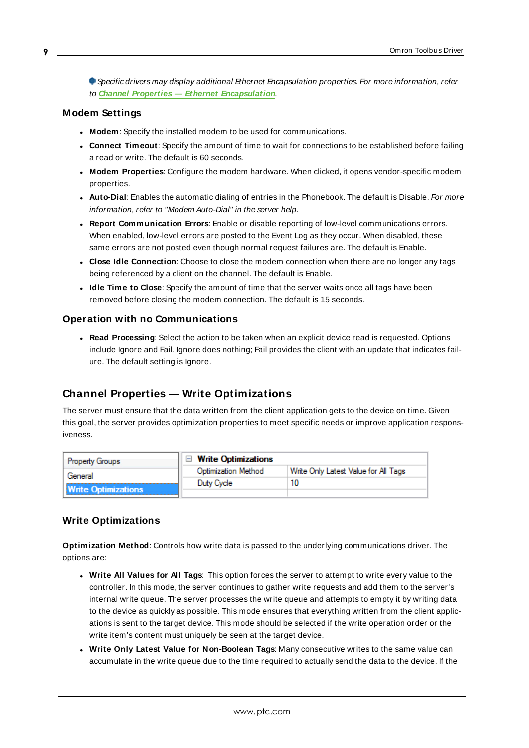Specific drivers may display additional Ethernet Encapsulation properties. For more information, refer to **Channel Properties — Ethernet Encapsulation**.

### <span id="page-8-2"></span>**Modem Settings**

- **Modem**: Specify the installed modem to be used for communications.
- **Connect Timeout**: Specify the amount of time to wait for connections to be established before failing a read or write. The default is 60 seconds.
- <sup>l</sup> **Modem Properties**: Configure the modem hardware. When clicked, it opens vendor-specific modem properties.
- **Auto-Dial**: Enables the automatic dialing of entries in the Phonebook. The default is Disable. For more information, refer to "Modem Auto-Dial" in the server help.
- <sup>l</sup> **Report Communication Errors**: Enable or disable reporting of low-level communications errors. When enabled, low-level errors are posted to the Event Log as they occur. When disabled, these same errors are not posted even though normal request failures are. The default is Enable.
- **Close Idle Connection**: Choose to close the modem connection when there are no longer any tags being referenced by a client on the channel. The default is Enable.
- <sup>l</sup> **Idle Time to Close**: Specify the amount of time that the server waits once all tags have been removed before closing the modem connection. The default is 15 seconds.

#### <span id="page-8-1"></span>**Operation with no Communications**

**Read Processing**: Select the action to be taken when an explicit device read is requested. Options include Ignore and Fail. Ignore does nothing; Fail provides the client with an update that indicates failure. The default setting is Ignore.

### <span id="page-8-0"></span>**Channel Properties — Write Optimizations**

The server must ensure that the data written from the client application gets to the device on time. Given this goal, the server provides optimization properties to meet specific needs or improve application responsiveness.

| <b>Property Groups</b>     | $\Box$ Write Optimizations |                                      |
|----------------------------|----------------------------|--------------------------------------|
| General                    | Optimization Method        | Write Only Latest Value for All Tags |
|                            | Duty Cycle                 |                                      |
| <b>Write Optimizations</b> |                            |                                      |

### **Write Optimizations**

**Optimization Method**: Controls how write data is passed to the underlying communications driver. The options are:

- <sup>l</sup> **Write All Values for All Tags**: This option forces the server to attempt to write every value to the controller. In this mode, the server continues to gather write requests and add them to the server's internal write queue. The server processes the write queue and attempts to empty it by writing data to the device as quickly as possible. This mode ensures that everything written from the client applications is sent to the target device. This mode should be selected if the write operation order or the write item's content must uniquely be seen at the target device.
- <sup>l</sup> **Write Only Latest Value for Non-Boolean Tags**: Many consecutive writes to the same value can accumulate in the write queue due to the time required to actually send the data to the device. If the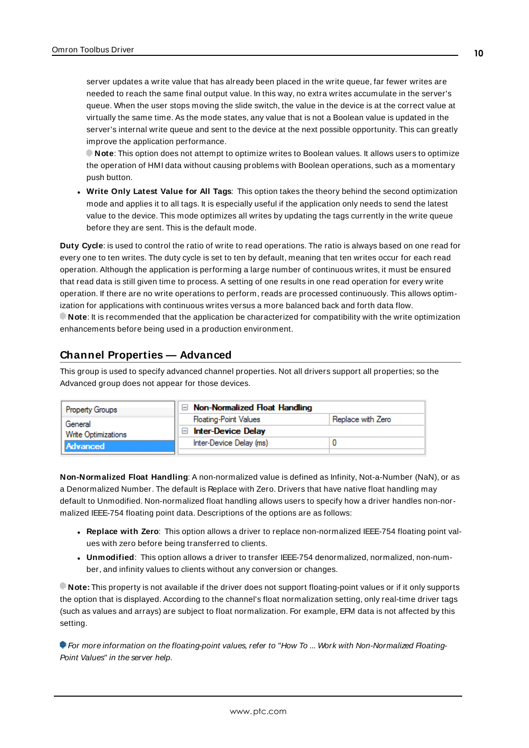server updates a write value that has already been placed in the write queue, far fewer writes are needed to reach the same final output value. In this way, no extra writes accumulate in the server's queue. When the user stops moving the slide switch, the value in the device is at the correct value at virtually the same time. As the mode states, any value that is not a Boolean value is updated in the server's internal write queue and sent to the device at the next possible opportunity. This can greatly improve the application performance.

**Note**: This option does not attempt to optimize writes to Boolean values. It allows users to optimize the operation of HMI data without causing problems with Boolean operations, such as a momentary push button.

**• Write Only Latest Value for All Tags**: This option takes the theory behind the second optimization mode and applies it to all tags. It is especially useful if the application only needs to send the latest value to the device. This mode optimizes all writes by updating the tags currently in the write queue before they are sent. This is the default mode.

**Duty Cycle**: is used to control the ratio of write to read operations. The ratio is always based on one read for every one to ten writes. The duty cycle is set to ten by default, meaning that ten writes occur for each read operation. Although the application is performing a large number of continuous writes, it must be ensured that read data is still given time to process. A setting of one results in one read operation for every write operation. If there are no write operations to perform, reads are processed continuously. This allows optimization for applications with continuous writes versus a more balanced back and forth data flow. **Note**: It is recommended that the application be characterized for compatibility with the write optimization enhancements before being used in a production environment.

### <span id="page-9-0"></span>**Channel Properties — Advanced**

This group is used to specify advanced channel properties. Not all drivers support all properties; so the Advanced group does not appear for those devices.

| <b>Property Groups</b>     | $\Box$ Non-Normalized Float Handling |                   |
|----------------------------|--------------------------------------|-------------------|
| General                    | <b>Floating-Point Values</b>         | Replace with Zero |
| <b>Write Optimizations</b> | <b>Inter-Device Delay</b>            |                   |
| <b>Advanced</b>            | Inter-Device Delay (ms)              |                   |
|                            |                                      |                   |

**Non-Normalized Float Handling**: A non-normalized value is defined as Infinity, Not-a-Number (NaN), or as a Denormalized Number. The default is Replace with Zero. Drivers that have native float handling may default to Unmodified. Non-normalized float handling allows users to specify how a driver handles non-normalized IEEE-754 floating point data. Descriptions of the options are as follows:

- <sup>l</sup> **Replace with Zero**: This option allows a driver to replace non-normalized IEEE-754 floating point values with zero before being transferred to clients.
- <sup>l</sup> **Unmodified**: This option allows a driver to transfer IEEE-754 denormalized, normalized, non-number, and infinity values to clients without any conversion or changes.

**Note:** This property is not available if the driver does not support floating-point values or if it only supports the option that is displayed. According to the channel's float normalization setting, only real-time driver tags (such as values and arrays) are subject to float normalization. For example, EFM data is not affected by this setting.

For more information on the floating-point values, refer to "How To ... Work with Non-Normalized Floating-Point Values" in the server help.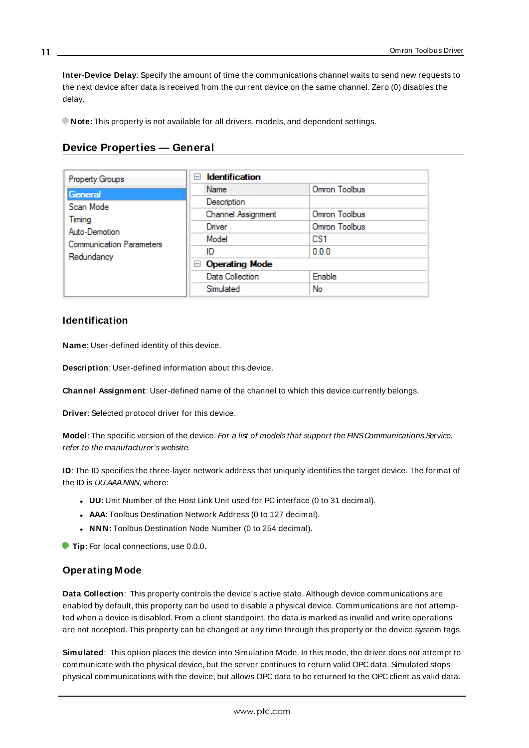**Inter-Device Delay**: Specify the amount of time the communications channel waits to send new requests to the next device after data is received from the current device on the same channel. Zero (0) disables the delay.

<span id="page-10-0"></span>**Note:** This property is not available for all drivers, models, and dependent settings.

| <b>Property Groups</b>          | <b>Identification</b><br>$\overline{}$ |               |
|---------------------------------|----------------------------------------|---------------|
| General                         | Name                                   | Omron Toolbus |
| Scan Mode                       | Description                            |               |
| Timing                          | Channel Assignment                     | Omron Toolbus |
| Auto-Demotion                   | Driver                                 | Omron Toolbus |
| <b>Communication Parameters</b> | Model                                  | CS1           |
| Redundancy                      | ID                                     | 0.0.0         |
|                                 | <b>Operating Mode</b><br>$-$           |               |
|                                 | Data Collection                        | Enable        |
|                                 | Simulated                              | No            |

## **Device Properties — General**

### **Identification**

**Name**: User-defined identity of this device.

<span id="page-10-1"></span>**Description**: User-defined information about this device.

<span id="page-10-3"></span>**Channel Assignment**: User-defined name of the channel to which this device currently belongs.

<span id="page-10-5"></span>**Driver**: Selected protocol driver for this device.

**Model:** The specific version of the device. For a list of models that support the FINS Communications Service, refer to the manufacturer's website.

<span id="page-10-4"></span>**ID**: The ID specifies the three-layer network address that uniquely identifies the target device. The format of the ID is UU.AAA.NNN, where:

- **UU:** Unit Number of the Host Link Unit used for PC interface (0 to 31 decimal).
- **AAA:** Toolbus Destination Network Address (0 to 127 decimal).
- **NNN:** Toolbus Destination Node Number (0 to 254 decimal).

**Tip:** For local connections, use 0.0.0.

### <span id="page-10-2"></span>**Operating Mode**

**Data Collection**: This property controls the device's active state. Although device communications are enabled by default, this property can be used to disable a physical device. Communications are not attempted when a device is disabled. From a client standpoint, the data is marked as invalid and write operations are not accepted. This property can be changed at any time through this property or the device system tags.

<span id="page-10-6"></span>**Simulated**: This option places the device into Simulation Mode. In this mode, the driver does not attempt to communicate with the physical device, but the server continues to return valid OPC data. Simulated stops physical communications with the device, but allows OPC data to be returned to the OPC client as valid data.

**11**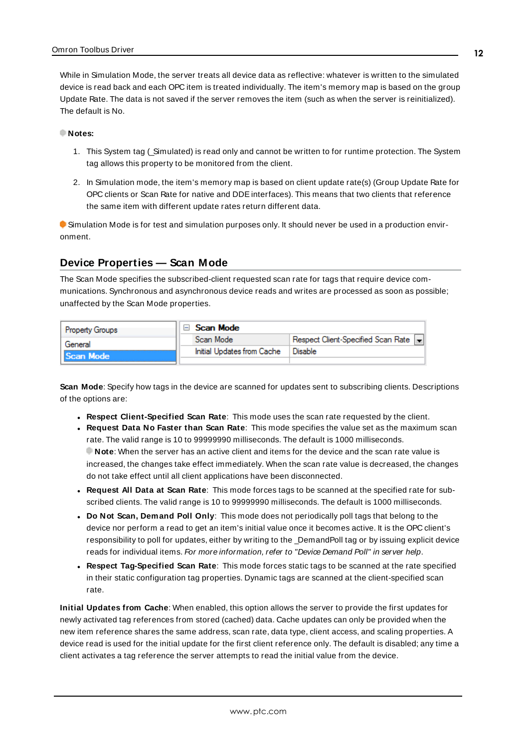While in Simulation Mode, the server treats all device data as reflective: whatever is written to the simulated device is read back and each OPC item is treated individually. The item's memory map is based on the group Update Rate. The data is not saved if the server removes the item (such as when the server is reinitialized). The default is No.

#### **Notes:**

- 1. This System tag (\_Simulated) is read only and cannot be written to for runtime protection. The System tag allows this property to be monitored from the client.
- 2. In Simulation mode, the item's memory map is based on client update rate(s) (Group Update Rate for OPC clients or Scan Rate for native and DDEinterfaces). This means that two clients that reference the same item with different update rates return different data.

 Simulation Mode is for test and simulation purposes only. It should never be used in a production environment.

### <span id="page-11-0"></span>**Device Properties — Scan Mode**

The Scan Mode specifies the subscribed-client requested scan rate for tags that require device communications. Synchronous and asynchronous device reads and writes are processed as soon as possible; unaffected by the Scan Mode properties.

| <b>Property Groups</b> | <b>Scan Mode</b>           |                                    |
|------------------------|----------------------------|------------------------------------|
| General                | Scan Mode                  | Respect Client-Specified Scan Rate |
| <b>Scan Mode</b>       | Initial Updates from Cache | ' Disable                          |
|                        |                            |                                    |

<span id="page-11-4"></span>**Scan Mode**: Specify how tags in the device are scanned for updates sent to subscribing clients. Descriptions of the options are:

- <sup>l</sup> **Respect Client-Specified Scan Rate**: This mode uses the scan rate requested by the client.
- <sup>l</sup> **Request Data No Faster than Scan Rate**: This mode specifies the value set as the maximum scan rate. The valid range is 10 to 99999990 milliseconds. The default is 1000 milliseconds. **Note**: When the server has an active client and items for the device and the scan rate value is increased, the changes take effect immediately. When the scan rate value is decreased, the changes do not take effect until all client applications have been disconnected.
- <sup>l</sup> **Request All Data at Scan Rate**: This mode forces tags to be scanned at the specified rate for subscribed clients. The valid range is 10 to 99999990 milliseconds. The default is 1000 milliseconds.
- <span id="page-11-1"></span><sup>l</sup> **Do Not Scan, Demand Poll Only**: This mode does not periodically poll tags that belong to the device nor perform a read to get an item's initial value once it becomes active. It is the OPC client's responsibility to poll for updates, either by writing to the \_DemandPoll tag or by issuing explicit device reads for individual items. For more information, refer to "Device Demand Poll" in server help.
- <span id="page-11-3"></span><sup>l</sup> **Respect Tag-Specified Scan Rate**: This mode forces static tags to be scanned at the rate specified in their static configuration tag properties. Dynamic tags are scanned at the client-specified scan rate.

<span id="page-11-2"></span>**Initial Updates from Cache**: When enabled, this option allows the server to provide the first updates for newly activated tag references from stored (cached) data. Cache updates can only be provided when the new item reference shares the same address, scan rate, data type, client access, and scaling properties. A device read is used for the initial update for the first client reference only. The default is disabled; any time a client activates a tag reference the server attempts to read the initial value from the device.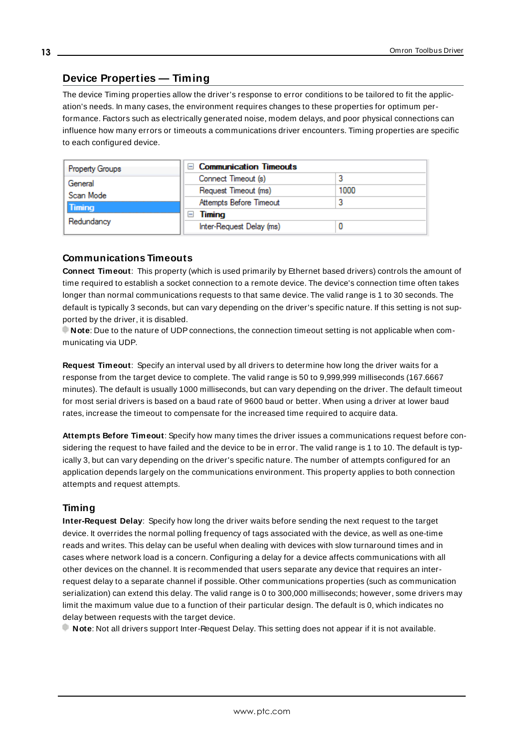### <span id="page-12-2"></span><span id="page-12-0"></span>**Device Properties — Timing**

The device Timing properties allow the driver's response to error conditions to be tailored to fit the application's needs. In many cases, the environment requires changes to these properties for optimum performance. Factors such as electrically generated noise, modem delays, and poor physical connections can influence how many errors or timeouts a communications driver encounters. Timing properties are specific to each configured device.

| <b>Property Groups</b> | $\Box$ Communication Timeouts |      |
|------------------------|-------------------------------|------|
| General                | Connect Timeout (s)           |      |
| Scan Mode              | Request Timeout (ms)          | 1000 |
| <b>Timing</b>          | Attempts Before Timeout       |      |
|                        | Timing<br>-                   |      |
| Redundancy             | Inter-Request Delay (ms)      |      |

### <span id="page-12-3"></span>**Communications Timeouts**

**Connect Timeout**: This property (which is used primarily by Ethernet based drivers) controls the amount of time required to establish a socket connection to a remote device. The device's connection time often takes longer than normal communications requests to that same device. The valid range is 1 to 30 seconds. The default is typically 3 seconds, but can vary depending on the driver's specific nature. If this setting is not supported by the driver, it is disabled.

**Note**: Due to the nature of UDPconnections, the connection timeout setting is not applicable when communicating via UDP.

<span id="page-12-5"></span>**Request Timeout**: Specify an interval used by all drivers to determine how long the driver waits for a response from the target device to complete. The valid range is 50 to 9,999,999 milliseconds (167.6667 minutes). The default is usually 1000 milliseconds, but can vary depending on the driver. The default timeout for most serial drivers is based on a baud rate of 9600 baud or better. When using a driver at lower baud rates, increase the timeout to compensate for the increased time required to acquire data.

<span id="page-12-1"></span>**Attempts Before Timeout**: Specify how many times the driver issues a communications request before considering the request to have failed and the device to be in error. The valid range is 1 to 10. The default is typically 3, but can vary depending on the driver's specific nature. The number of attempts configured for an application depends largely on the communications environment. This property applies to both connection attempts and request attempts.

### <span id="page-12-4"></span>**Timing**

**Inter-Request Delay**: Specify how long the driver waits before sending the next request to the target device. It overrides the normal polling frequency of tags associated with the device, as well as one-time reads and writes. This delay can be useful when dealing with devices with slow turnaround times and in cases where network load is a concern. Configuring a delay for a device affects communications with all other devices on the channel. It is recommended that users separate any device that requires an interrequest delay to a separate channel if possible. Other communications properties (such as communication serialization) can extend this delay. The valid range is 0 to 300,000 milliseconds; however, some drivers may limit the maximum value due to a function of their particular design. The default is 0, which indicates no delay between requests with the target device.

**Note**: Not all drivers support Inter-Request Delay. This setting does not appear if it is not available.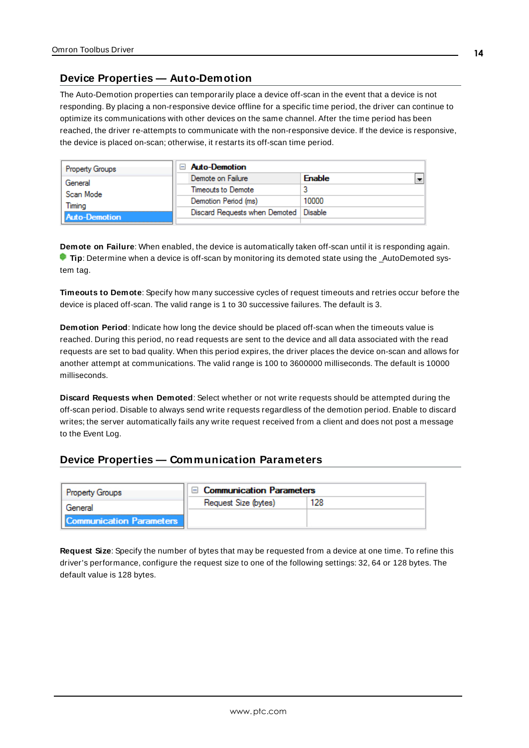### <span id="page-13-0"></span>**Device Properties — Auto-Demotion**

The Auto-Demotion properties can temporarily place a device off-scan in the event that a device is not responding. By placing a non-responsive device offline for a specific time period, the driver can continue to optimize its communications with other devices on the same channel. After the time period has been reached, the driver re-attempts to communicate with the non-responsive device. If the device is responsive, the device is placed on-scan; otherwise, it restarts its off-scan time period.

| <b>Property Groups</b> | $\Box$ Auto-Demotion                    |               |
|------------------------|-----------------------------------------|---------------|
| General                | Demote on Failure                       | <b>Enable</b> |
| Scan Mode              | Timeouts to Demote                      |               |
| Timina                 | Demotion Period (ms)                    | 10000         |
| <b>Auto-Demotion</b>   | Discard Requests when Demoted   Disable |               |
|                        |                                         |               |

<span id="page-13-2"></span>**Demote on Failure**: When enabled, the device is automatically taken off-scan until it is responding again. **Tip**: Determine when a device is off-scan by monitoring its demoted state using the \_AutoDemoted system tag.

<span id="page-13-6"></span>**Timeouts to Demote**: Specify how many successive cycles of request timeouts and retries occur before the device is placed off-scan. The valid range is 1 to 30 successive failures. The default is 3.

<span id="page-13-3"></span>**Demotion Period**: Indicate how long the device should be placed off-scan when the timeouts value is reached. During this period, no read requests are sent to the device and all data associated with the read requests are set to bad quality. When this period expires, the driver places the device on-scan and allows for another attempt at communications. The valid range is 100 to 3600000 milliseconds. The default is 10000 milliseconds.

<span id="page-13-4"></span>**Discard Requests when Demoted**: Select whether or not write requests should be attempted during the off-scan period. Disable to always send write requests regardless of the demotion period. Enable to discard writes; the server automatically fails any write request received from a client and does not post a message to the Event Log.

### <span id="page-13-1"></span>**Device Properties — Communication Parameters**

| <b>Property Groups</b>          | <b>Communication Parameters</b> |     |
|---------------------------------|---------------------------------|-----|
| General                         | Request Size (bytes)            | 128 |
| <b>Communication Parameters</b> |                                 |     |

<span id="page-13-5"></span>**Request Size**: Specify the number of bytes that may be requested from a device at one time. To refine this driver's performance, configure the request size to one of the following settings: 32, 64 or 128 bytes. The default value is 128 bytes.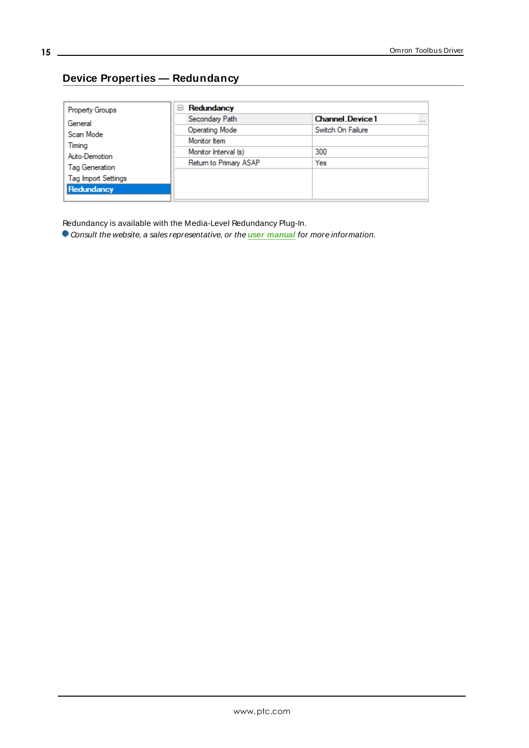# <span id="page-14-0"></span>**Device Properties — Redundancy**

| <b>Property Groups</b>     | Redundancy<br>$=$      |                                    |
|----------------------------|------------------------|------------------------------------|
| General                    | Secondary Path         | <b>Channel Device1</b><br>$\cdots$ |
| Scan Mode                  | Operating Mode         | Switch On Failure                  |
| Timing                     | Monitor Item           |                                    |
| Auto-Demotion              | Monitor Interval (s)   | 300                                |
| Tag Generation             | Return to Primary ASAP | Yes                                |
| <b>Tag Import Settings</b> |                        |                                    |
| Redundancy                 |                        |                                    |
|                            |                        |                                    |

Redundancy is available with the Media-Level Redundancy Plug-In.

Consult the website, a sales representative, or the **user [manual](https://www.kepware.com/getattachment/35461efd-b53a-4219-a109-a89fad20b230/media-level-redundancy-manual.pdf)** for more information.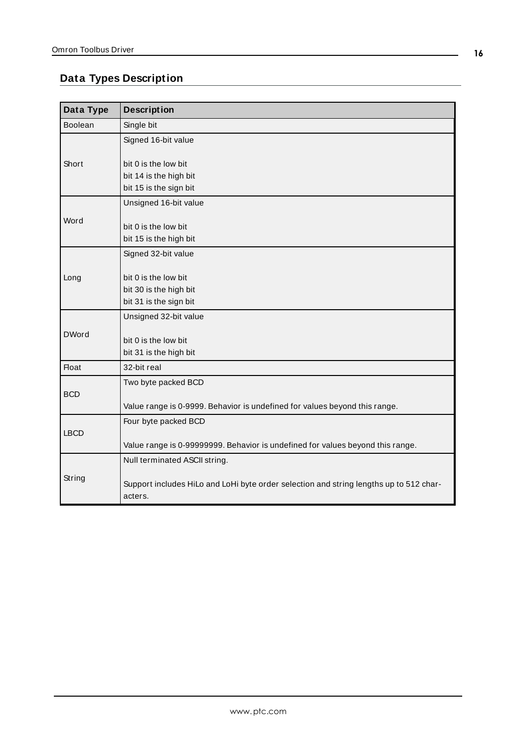## <span id="page-15-0"></span>**Data Types Description**

<span id="page-15-9"></span><span id="page-15-8"></span><span id="page-15-7"></span><span id="page-15-6"></span><span id="page-15-5"></span><span id="page-15-4"></span><span id="page-15-3"></span><span id="page-15-2"></span><span id="page-15-1"></span>

| Data Type      | <b>Description</b>                                                                                |
|----------------|---------------------------------------------------------------------------------------------------|
| <b>Boolean</b> | Single bit                                                                                        |
|                | Signed 16-bit value                                                                               |
| Short          | bit 0 is the low bit<br>bit 14 is the high bit<br>bit 15 is the sign bit                          |
|                | Unsigned 16-bit value                                                                             |
| Word           | bit 0 is the low bit<br>bit 15 is the high bit                                                    |
| Long           | Signed 32-bit value                                                                               |
|                | bit 0 is the low bit<br>bit 30 is the high bit<br>bit 31 is the sign bit                          |
|                | Unsigned 32-bit value                                                                             |
| <b>DWord</b>   | bit 0 is the low bit<br>bit 31 is the high bit                                                    |
| <b>Float</b>   | 32-bit real                                                                                       |
| <b>BCD</b>     | Two byte packed BCD<br>Value range is 0-9999. Behavior is undefined for values beyond this range. |
| <b>LBCD</b>    | Four byte packed BCD                                                                              |
|                | Value range is 0-99999999. Behavior is undefined for values beyond this range.                    |
| String         | Null terminated ASCII string.                                                                     |
|                | Support includes HiLo and LoHi byte order selection and string lengths up to 512 char-<br>acters. |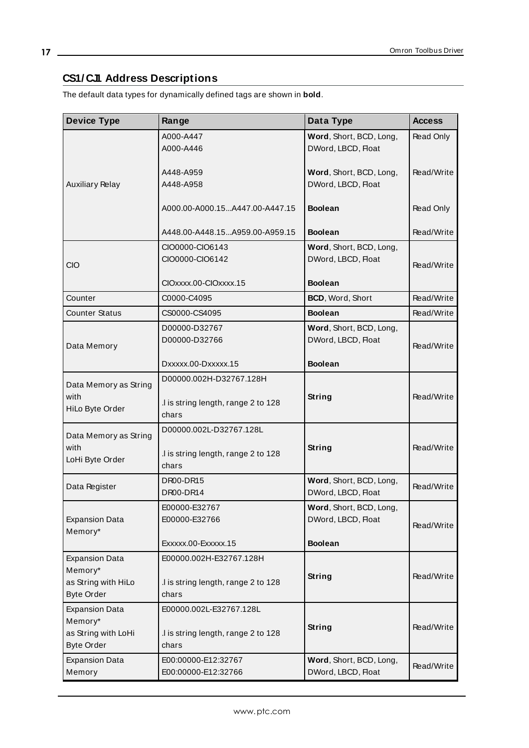## <span id="page-16-0"></span>**CS1/ CJ1 Address Descriptions**

The default data types for dynamically defined tags are shown in **bold**.

| <b>Device Type</b>                                                           | Range                                                                   | Data Type                                     | <b>Access</b> |
|------------------------------------------------------------------------------|-------------------------------------------------------------------------|-----------------------------------------------|---------------|
|                                                                              | A000-A447<br>A000-A446                                                  | Word, Short, BCD, Long,<br>DWord, LBCD, Float | Read Only     |
| <b>Auxiliary Relay</b>                                                       | A448-A959<br>A448-A958                                                  | Word, Short, BCD, Long,<br>DWord, LBCD, Float | Read/Write    |
|                                                                              | A000.00-A000.15A447.00-A447.15                                          | <b>Boolean</b>                                | Read Only     |
|                                                                              | A448.00-A448.15A959.00-A959.15                                          | <b>Boolean</b>                                | Read/Write    |
| <b>CIO</b>                                                                   | CIO0000-CIO6143<br>CIO0000-CIO6142                                      | Word, Short, BCD, Long,<br>DWord, LBCD, Float | Read/Write    |
|                                                                              | CIOxxxx.00-CIOxxxx.15                                                   | <b>Boolean</b>                                |               |
| Counter                                                                      | C0000-C4095                                                             | BCD, Word, Short                              | Read/Write    |
| <b>Counter Status</b>                                                        | CS0000-CS4095                                                           | <b>Boolean</b>                                | Read/Write    |
| Data Memory                                                                  | D00000-D32767<br>D00000-D32766                                          | Word, Short, BCD, Long,<br>DWord, LBCD, Float | Read/Write    |
|                                                                              | Dxxxxx.00-Dxxxxx.15                                                     | <b>Boolean</b>                                |               |
| Data Memory as String<br>with<br>HiLo Byte Order                             | D00000.002H-D32767.128H<br>.I is string length, range 2 to 128<br>chars | String                                        | Read/Write    |
| Data Memory as String<br>with<br>LoHi Byte Order                             | D00000.002L-D32767.128L<br>.I is string length, range 2 to 128<br>chars | <b>String</b>                                 | Read/Write    |
| Data Register                                                                | DR00-DR15<br>DR00-DR14                                                  | Word, Short, BCD, Long,<br>DWord, LBCD, Float | Read/Write    |
| <b>Expansion Data</b><br>Memory*                                             | E00000-E32767<br>E00000-E32766                                          | Word, Short, BCD, Long,<br>DWord, LBCD, Float | Read/Write    |
|                                                                              | Exxxxx.00-Exxxxx.15                                                     | <b>Boolean</b>                                |               |
| <b>Expansion Data</b><br>Memory*<br>as String with HiLo<br><b>Byte Order</b> | E00000.002H-E32767.128H<br>.I is string length, range 2 to 128<br>chars | String                                        | Read/Write    |
| <b>Expansion Data</b><br>Memory*<br>as String with LoHi<br><b>Byte Order</b> | E00000.002L-E32767.128L<br>.I is string length, range 2 to 128<br>chars | <b>String</b>                                 | Read/Write    |
| <b>Expansion Data</b><br>Memory                                              | E00:00000-E12:32767<br>E00:00000-E12:32766                              | Word, Short, BCD, Long,<br>DWord, LBCD, Float | Read/Write    |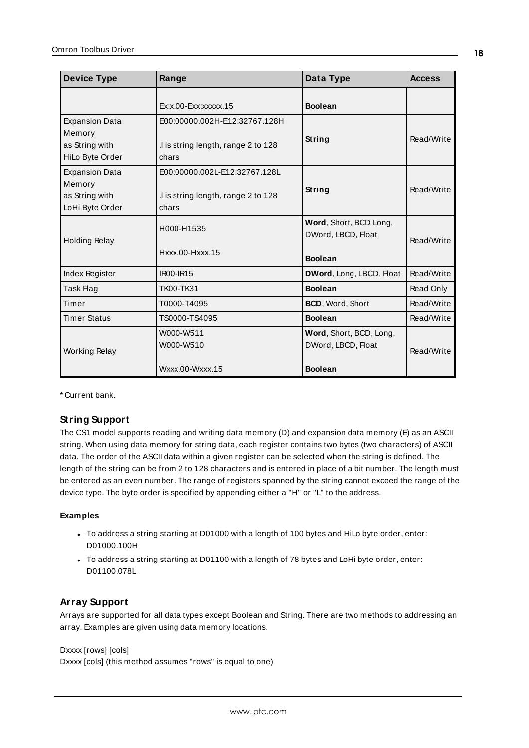| <b>Device Type</b>                                                   | Range                                                                        | Data Type                                                       | <b>Access</b> |
|----------------------------------------------------------------------|------------------------------------------------------------------------------|-----------------------------------------------------------------|---------------|
|                                                                      | $Ex:x.00-Exx:xxxxx.15$                                                       | <b>Boolean</b>                                                  |               |
| <b>Expansion Data</b><br>Memory<br>as String with<br>HiLo Byte Order | E00:00000.002H-E12:32767.128H<br>I is string length, range 2 to 128<br>chars | String                                                          | Read/Write    |
| <b>Expansion Data</b><br>Memory<br>as String with<br>LoHi Byte Order | E00:00000.002L-E12:32767.128L<br>I is string length, range 2 to 128<br>chars | String                                                          | Read/Write    |
| <b>Holding Relay</b>                                                 | H000-H1535<br>Hxxx.00-Hxxx.15                                                | Word, Short, BCD Long,<br>DWord, LBCD, Float<br><b>Boolean</b>  | Read/Write    |
| Index Register                                                       | <b>IR00-IR15</b>                                                             | DWord, Long, LBCD, Float                                        | Read/Write    |
| Task Flag                                                            | TK00-TK31                                                                    | <b>Boolean</b>                                                  | Read Only     |
| Timer                                                                | T0000-T4095                                                                  | BCD, Word, Short                                                | Read/Write    |
| <b>Timer Status</b>                                                  | TS0000-TS4095                                                                | <b>Boolean</b>                                                  | Read/Write    |
| <b>Working Relay</b>                                                 | W000-W511<br>W000-W510<br>Wxxx.00-Wxxx.15                                    | Word, Short, BCD, Long,<br>DWord, LBCD, Float<br><b>Boolean</b> | Read/Write    |

<span id="page-17-1"></span>\* Current bank.

### **String Support**

The CS1 model supports reading and writing data memory (D) and expansion data memory (E) as an ASCII string. When using data memory for string data, each register contains two bytes (two characters) of ASCII data. The order of the ASCII data within a given register can be selected when the string is defined. The length of the string can be from 2 to 128 characters and is entered in place of a bit number. The length must be entered as an even number. The range of registers spanned by the string cannot exceed the range of the device type. The byte order is specified by appending either a "H" or "L" to the address.

### **Examples**

- To address a string starting at D01000 with a length of 100 bytes and HiLo byte order, enter: D01000.100H
- To address a string starting at D01100 with a length of 78 bytes and LoHi byte order, enter: D01100.078L

### <span id="page-17-0"></span>**Array Support**

Arrays are supported for all data types except Boolean and String. There are two methods to addressing an array. Examples are given using data memory locations.

### Dxxxx [rows] [cols]

Dxxxx [cols] (this method assumes "rows" is equal to one)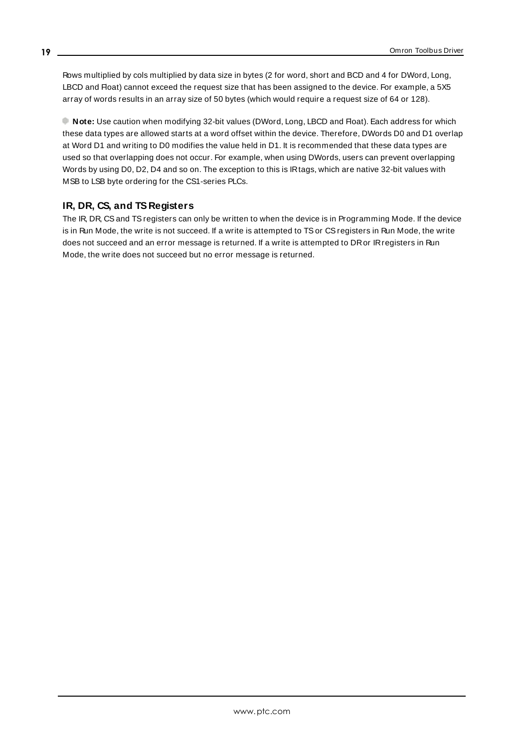Rows multiplied by cols multiplied by data size in bytes (2 for word, short and BCD and 4 for DWord, Long, LBCD and Float) cannot exceed the request size that has been assigned to the device. For example, a 5X5 array of words results in an array size of 50 bytes (which would require a request size of 64 or 128).

**Note:** Use caution when modifying 32-bit values (DWord, Long, LBCD and Float). Each address for which these data types are allowed starts at a word offset within the device. Therefore, DWords D0 and D1 overlap at Word D1 and writing to D0 modifies the value held in D1. It is recommended that these data types are used so that overlapping does not occur. For example, when using DWords, users can prevent overlapping Words by using D0, D2, D4 and so on. The exception to this is IRtags, which are native 32-bit values with MSB to LSB byte ordering for the CS1-series PLCs.

### <span id="page-18-0"></span>**IR, DR, CS, and TS Registers**

The IR, DR, CSand TSregisters can only be written to when the device is in Programming Mode. If the device is in Run Mode, the write is not succeed. If a write is attempted to TSor CSregisters in Run Mode, the write does not succeed and an error message is returned. If a write is attempted to DRor IRregisters in Run Mode, the write does not succeed but no error message is returned.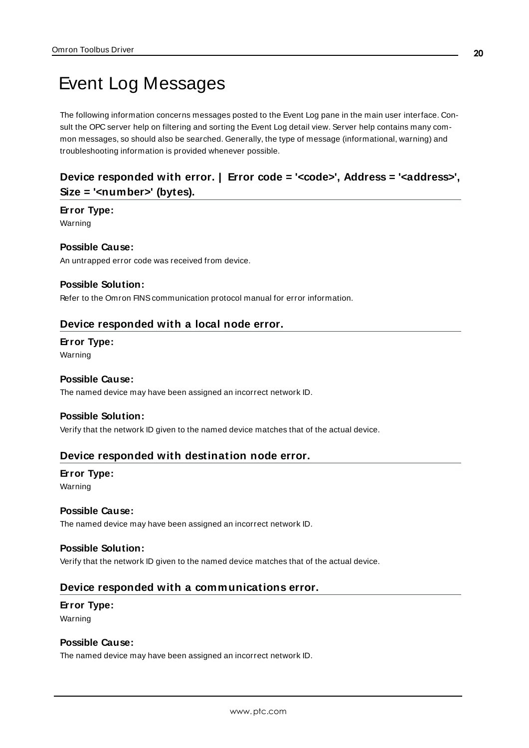# <span id="page-19-0"></span>Event Log Messages

The following information concerns messages posted to the Event Log pane in the main user interface. Consult the OPC server help on filtering and sorting the Event Log detail view. Server help contains many common messages, so should also be searched. Generally, the type of message (informational, warning) and troubleshooting information is provided whenever possible.

## <span id="page-19-1"></span>**Device responded with error. | Error code = '<code>', Address = '<address>', Size = '<number>' (bytes).**

#### **Error Type:**

Warning

### **Possible Cause:**

An untrapped error code was received from device.

#### **Possible Solution:**

<span id="page-19-2"></span>Refer to the Omron FINS communication protocol manual for error information.

#### **Device responded with a local node error.**

### **Error Type:**

Warning

#### **Possible Cause:**

The named device may have been assigned an incorrect network ID.

#### **Possible Solution:**

<span id="page-19-3"></span>Verify that the network ID given to the named device matches that of the actual device.

### **Device responded with destination node error.**

#### **Error Type:**

Warning

#### **Possible Cause:**

The named device may have been assigned an incorrect network ID.

#### **Possible Solution:**

<span id="page-19-4"></span>Verify that the network ID given to the named device matches that of the actual device.

### **Device responded with a communications error.**

## **Error Type:**

Warning

## **Possible Cause:**

The named device may have been assigned an incorrect network ID.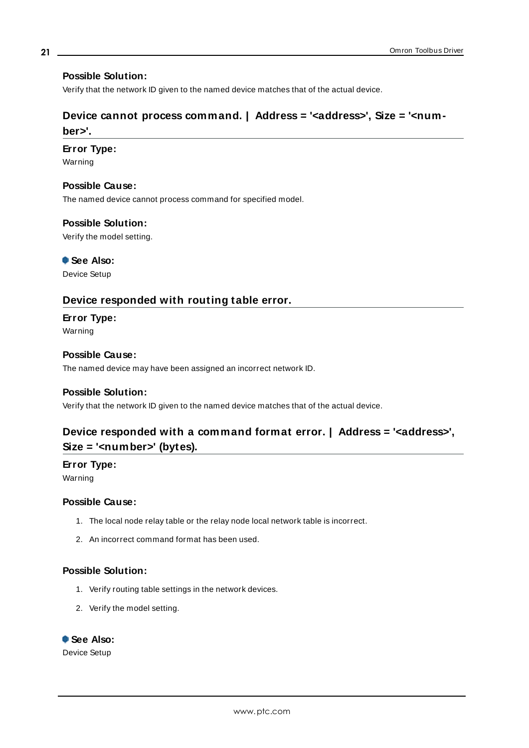### **Possible Solution:**

<span id="page-20-0"></span>Verify that the network ID given to the named device matches that of the actual device.

## **Device cannot process command. | Address = '<address>', Size = '<number>'.**

#### **Error Type:**

Warning

### **Possible Cause:**

The named device cannot process command for specified model.

#### **Possible Solution:**

Verify the model setting.

 **See Also:** Device Setup

### <span id="page-20-1"></span>**Device responded with routing table error.**

**Error Type:** Warning

**Possible Cause:** The named device may have been assigned an incorrect network ID.

#### **Possible Solution:**

<span id="page-20-2"></span>Verify that the network ID given to the named device matches that of the actual device.

## **Device responded with a command format error. | Address = '<address>', Size = '<number>' (bytes).**

## **Error Type:**

Warning

### **Possible Cause:**

- 1. The local node relay table or the relay node local network table is incorrect.
- 2. An incorrect command format has been used.

#### **Possible Solution:**

- 1. Verify routing table settings in the network devices.
- 2. Verify the model setting.

# **See Also:**

Device Setup

**21**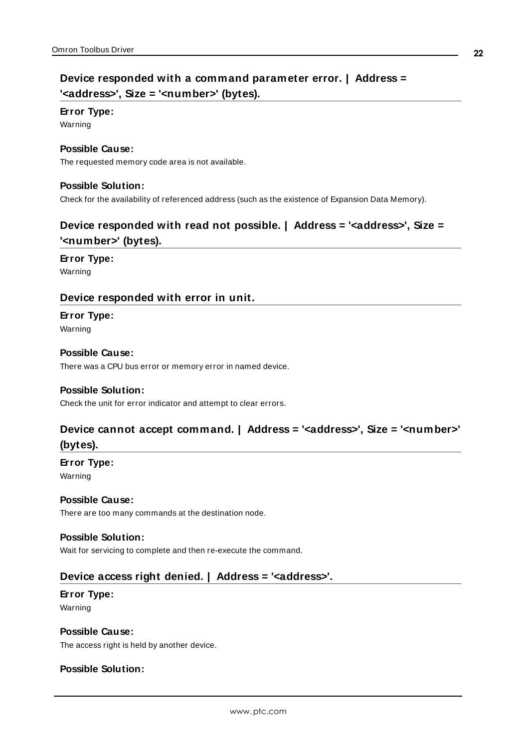## <span id="page-21-0"></span>**Device responded with a command parameter error. | Address = '<address>', Size = '<number>' (bytes).**

## **Error Type:**

Warning

## **Possible Cause:**

The requested memory code area is not available.

## **Possible Solution:**

<span id="page-21-1"></span>Check for the availability of referenced address (such as the existence of Expansion Data Memory).

## **Device responded with read not possible. | Address = '<address>', Size = '<number>' (bytes).**

## **Error Type:**

<span id="page-21-2"></span>Warning

## **Device responded with error in unit.**

# **Error Type:**

Warning

### **Possible Cause:**

There was a CPU bus error or memory error in named device.

### **Possible Solution:**

<span id="page-21-3"></span>Check the unit for error indicator and attempt to clear errors.

## **Device cannot accept command. | Address = '<address>', Size = '<number>' (bytes).**

## **Error Type:**

Warning

### **Possible Cause:**

There are too many commands at the destination node.

### **Possible Solution:**

<span id="page-21-4"></span>Wait for servicing to complete and then re-execute the command.

## **Device access right denied. | Address = '<address>'.**

## **Error Type:**

Warning

## **Possible Cause:**

The access right is held by another device.

## **Possible Solution:**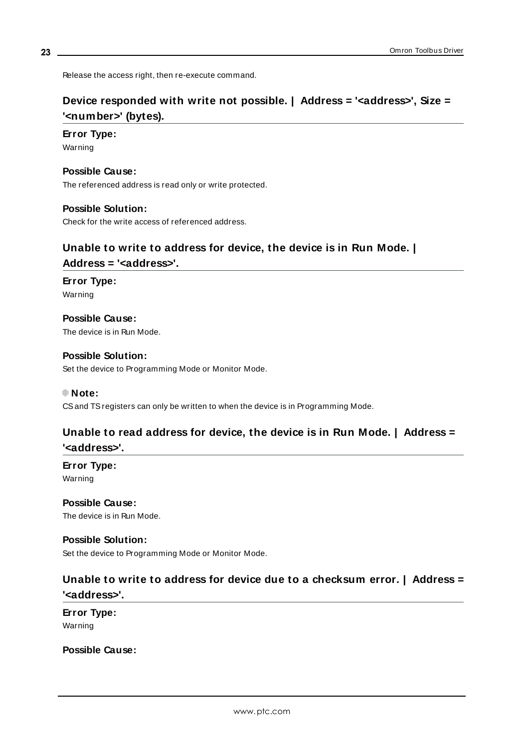<span id="page-22-0"></span>Release the access right, then re-execute command.

## **Device responded with write not possible. | Address = '<address>', Size = '<number>' (bytes).**

### **Error Type:**

Warning

### **Possible Cause:**

The referenced address is read only or write protected.

### **Possible Solution:**

<span id="page-22-1"></span>Check for the write access of referenced address.

# **Unable to write to address for device, the device is in Run Mode. |**

## **Address = '<address>'.**

**Error Type:** Warning

**Possible Cause:** The device is in Run Mode.

**Possible Solution:** Set the device to Programming Mode or Monitor Mode.

### **Note:**

<span id="page-22-2"></span>CSand TSregisters can only be written to when the device is in Programming Mode.

## **Unable to read address for device, the device is in Run Mode. | Address = '<address>'.**

**Error Type:** Warning

**Possible Cause:** The device is in Run Mode.

**Possible Solution:** Set the device to Programming Mode or Monitor Mode.

## <span id="page-22-3"></span>**Unable to write to address for device due to a checksum error. | Address = '<address>'.**

**Error Type:** Warning

**Possible Cause:**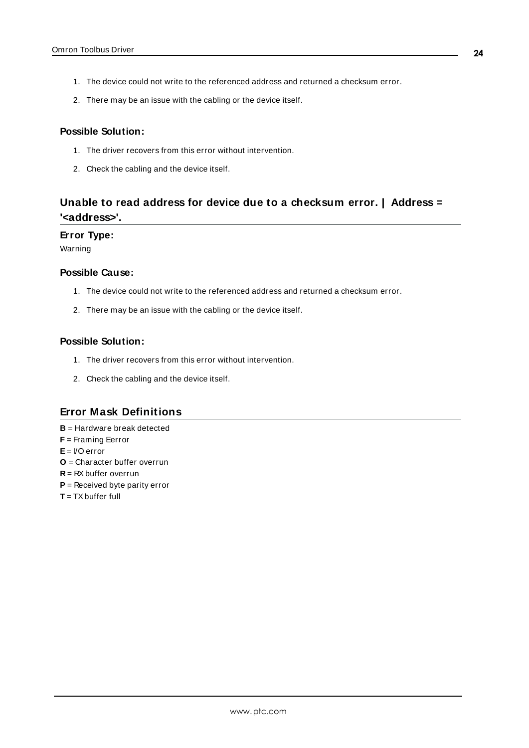- 1. The device could not write to the referenced address and returned a checksum error.
- 2. There may be an issue with the cabling or the device itself.

### **Possible Solution:**

- 1. The driver recovers from this error without intervention.
- 2. Check the cabling and the device itself.

## <span id="page-23-0"></span>**Unable to read address for device due to a checksum error. | Address = '<address>'.**

#### **Error Type:**

Warning

### **Possible Cause:**

- 1. The device could not write to the referenced address and returned a checksum error.
- 2. There may be an issue with the cabling or the device itself.

#### **Possible Solution:**

- 1. The driver recovers from this error without intervention.
- 2. Check the cabling and the device itself.

### <span id="page-23-3"></span><span id="page-23-1"></span>**Error Mask Definitions**

- <span id="page-23-2"></span>**B** = Hardware break detected
- <span id="page-23-4"></span>**F** = Framing Eerror
- <span id="page-23-5"></span>**E**= I/O error
- <span id="page-23-7"></span>**O** = Character buffer overrun
- <span id="page-23-6"></span>**R** = RXbuffer overrun
- <span id="page-23-8"></span>**P** = Received byte parity error
- **T** = TXbuffer full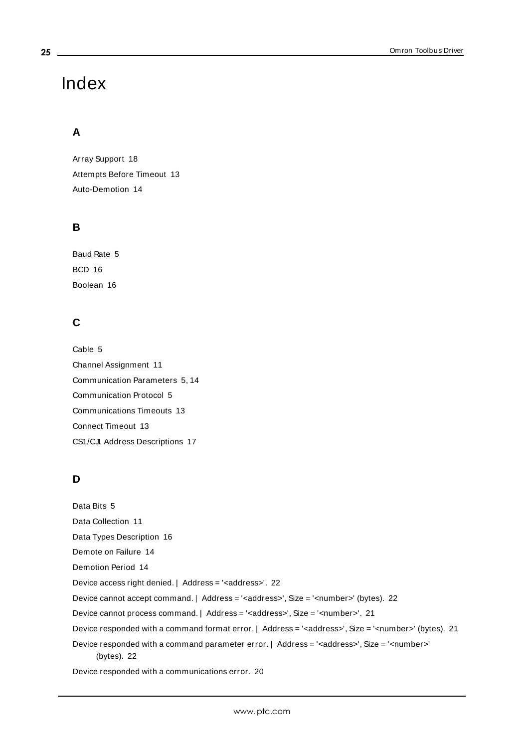# Index

## **A**

Array Support [18](#page-17-0) Attempts Before Timeout [13](#page-12-1) Auto-Demotion [14](#page-13-0)

## **B**

Baud Rate [5](#page-4-2) BCD [16](#page-15-1) Boolean [16](#page-15-2)

## **C**

Cable [5](#page-4-3) Channel Assignment [11](#page-10-1) Communication Parameters [5](#page-4-4), [14](#page-13-1) Communication Protocol [5](#page-4-5) Communications Timeouts [13](#page-12-2) Connect Timeout [13](#page-12-3) CS1/CJ1 Address Descriptions [17](#page-16-0)

## **D**

Data Bits [5](#page-4-6) Data Collection [11](#page-10-2) Data Types Description [16](#page-15-0) Demote on Failure [14](#page-13-2) Demotion Period [14](#page-13-3) Device access right denied. | Address = '<address>'. [22](#page-21-4) Device cannot accept command. | Address = '<address>', Size = '<number>' (bytes). [22](#page-21-3) Device cannot process command. | Address = '<address>', Size = '<number>'. [21](#page-20-0) Device responded with a command format error. | Address = '<address>', Size = '<number>' (bytes). [21](#page-20-2) Device responded with a command parameter error. | Address = '<address>', Size = '<number>' (bytes). [22](#page-21-0) Device responded with a communications error. [20](#page-19-4)

<span id="page-24-0"></span>**25**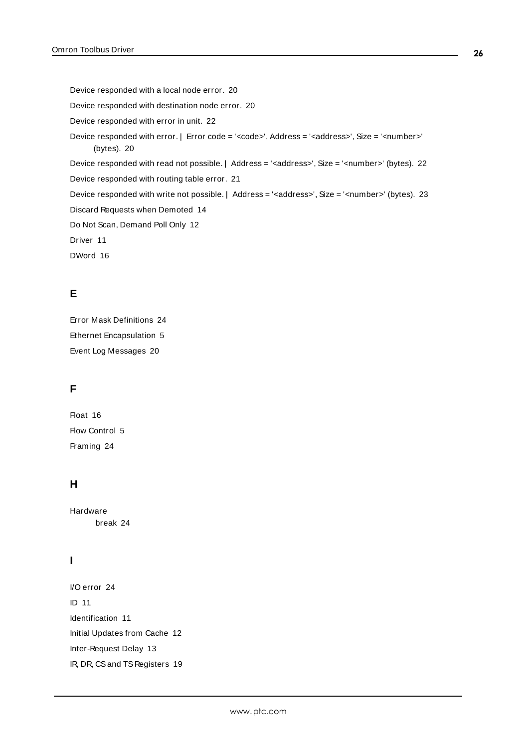Device responded with a local node error. [20](#page-19-2) Device responded with destination node error. [20](#page-19-3) Device responded with error in unit. [22](#page-21-2) Device responded with error. | Error code = '<code>', Address = '<address>', Size = '<number>' (bytes). [20](#page-19-1) Device responded with read not possible. | Address = '<address>', Size = '<number>' (bytes). [22](#page-21-1) Device responded with routing table error. [21](#page-20-1) Device responded with write not possible. | Address = '<address>', Size = '<number>' (bytes). [23](#page-22-0) Discard Requests when Demoted [14](#page-13-4) Do Not Scan, Demand Poll Only [12](#page-11-1) Driver [11](#page-10-3) DWord [16](#page-15-3)

## **E**

Error Mask Definitions [24](#page-23-1) Ethernet Encapsulation [5](#page-4-7) Event Log Messages [20](#page-19-0)

## **F**

Float [16](#page-15-4) Flow Control [5](#page-4-8) Framing [24](#page-23-2)

## **H**

Hardware break [24](#page-23-3)

## **I**

I/O error [24](#page-23-4) ID [11](#page-10-4) Identification [11](#page-10-0) Initial Updates from Cache [12](#page-11-2) Inter-Request Delay [13](#page-12-4) IR, DR, CSand TS Registers [19](#page-18-0)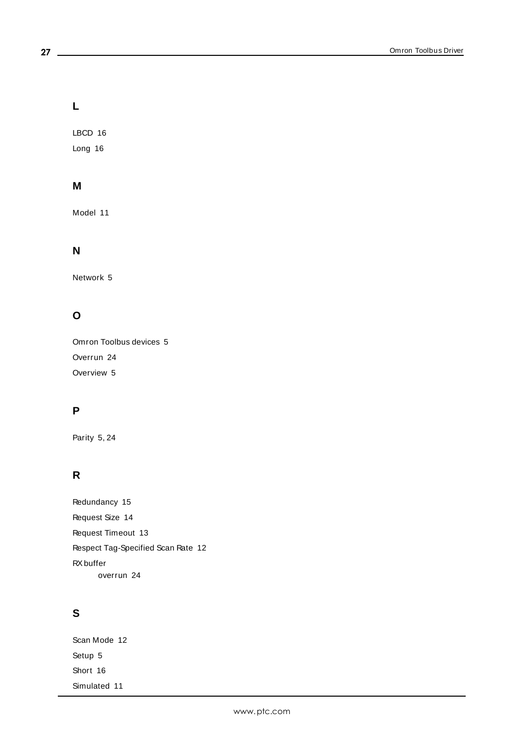## **L**

LBCD [16](#page-15-5) Long [16](#page-15-6)

## **M**

Model [11](#page-10-5)

## **N**

Network [5](#page-4-9)

## **O**

Omron Toolbus devices [5](#page-4-10) Overrun [24](#page-23-5) Overview [5](#page-4-0)

## **P**

Parity [5,](#page-4-11) [24](#page-23-6)

## **R**

Redundancy [15](#page-14-0) Request Size [14](#page-13-5) Request Timeout [13](#page-12-5) Respect Tag-Specified Scan Rate [12](#page-11-3) RXbuffer overrun [24](#page-23-7)

## **S**

Scan Mode [12](#page-11-4) Setup [5](#page-4-1) Short [16](#page-15-7) Simulated [11](#page-10-6)